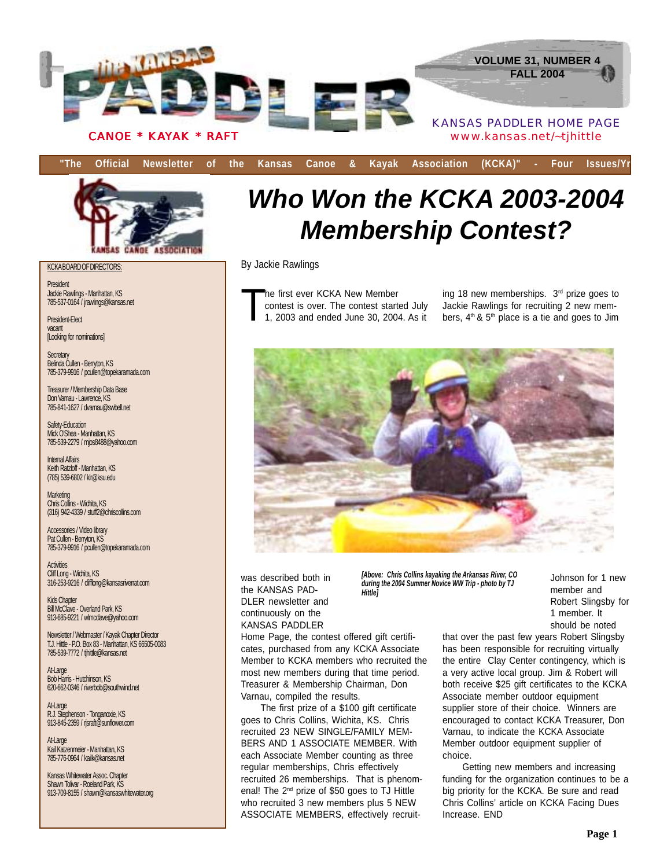

**"The Official Newsletter of the Kansas Canoe & Kayak Association (KCKA)" - Four Issues/Yr**



KCKA BOARD OF DIRECTORS:

President Jackie Rawlings - Manhattan, KS 785-537-0164 / jrawlings@kansas.net

President-Elect vacant [Looking for nominations]

Secretary Belinda Cullen - Berryton, KS 785-379-9916 / pcullen@topekaramada.com

Treasurer / Membership Data Base Don Varnau - Lawrence, KS 785-841-1627 / dvarnau@swbell.net

Safety-Education Mick O'Shea - Manhattan, KS 785-539-2279 / mjos8488@yahoo.com

Internal Affairs Keith Ratzloff - Manhattan, KS (785) 539-6802 / klr@ksu.edu

**Marketing** Chris Collins - Wichita, KS (316) 942-4339 / stuff2@chriscollins.com

Accessories / Video library Pat Cullen - Berryton, KS 785-379-9916 / pcullen@topekaramada.com

**Activities** Cliff Long - Wichita, KS 316-253-9216 / clifflong@kansasriverrat.com

Kids Chapter Bill McClave - Overland Park, KS 913-685-9221 / wlmcclave@yahoo.com

Newsletter / Webmaster / Kayak Chapter Director T.J. Hittle - P.O. Box 83 - Manhattan, KS 66505-0083 785-539-7772 / tjhittle@kansas.net

At-Large Bob Harris - Hutchinson, KS 620-662-0346 / riverbob@southwind.net

At-Large R.J. Stephenson - Tonganoxie, KS 913-845-2359 / rjsraft@sunflower.com

At-Large Kail Katzenmeier - Manhattan, KS 785-776-0964 / kailk@kansas.net

Kansas Whitewater Assoc. Chapter Shawn Tolivar - Roeland Park, KS 913-709-8155 / shawn@kansaswhitewater.org

# *Who Won the KCKA 2003-2004 Membership Contest?*

By Jackie Rawlings

he first ever KCKA New Member contest is over. The contest started July 1, 2003 and ended June 30, 2004. As it

ing 18 new memberships. 3<sup>rd</sup> prize goes to Jackie Rawlings for recruiting 2 new members,  $4<sup>th</sup>$  &  $5<sup>th</sup>$  place is a tie and goes to Jim



was described both in the KANSAS PAD-DLER newsletter and continuously on the KANSAS PADDLER

*[Above: Chris Collins kayaking the Arkansas River, CO during the 2004 Summer Novice WW Trip - photo by TJ Hittle]*

Johnson for 1 new member and Robert Slingsby for 1 member. It should be noted

Home Page, the contest offered gift certificates, purchased from any KCKA Associate Member to KCKA members who recruited the most new members during that time period. Treasurer & Membership Chairman, Don Varnau, compiled the results.

The first prize of a \$100 gift certificate goes to Chris Collins, Wichita, KS. Chris recruited 23 NEW SINGLE/FAMILY MEM-BERS AND 1 ASSOCIATE MEMBER. With each Associate Member counting as three regular memberships, Chris effectively recruited 26 memberships. That is phenomenal! The 2nd prize of \$50 goes to TJ Hittle who recruited 3 new members plus 5 NEW ASSOCIATE MEMBERS, effectively recruitthat over the past few years Robert Slingsby has been responsible for recruiting virtually the entire Clay Center contingency, which is a very active local group. Jim & Robert will both receive \$25 gift certificates to the KCKA Associate member outdoor equipment supplier store of their choice. Winners are encouraged to contact KCKA Treasurer, Don Varnau, to indicate the KCKA Associate Member outdoor equipment supplier of choice.

Getting new members and increasing funding for the organization continues to be a big priority for the KCKA. Be sure and read Chris Collins' article on KCKA Facing Dues Increase. END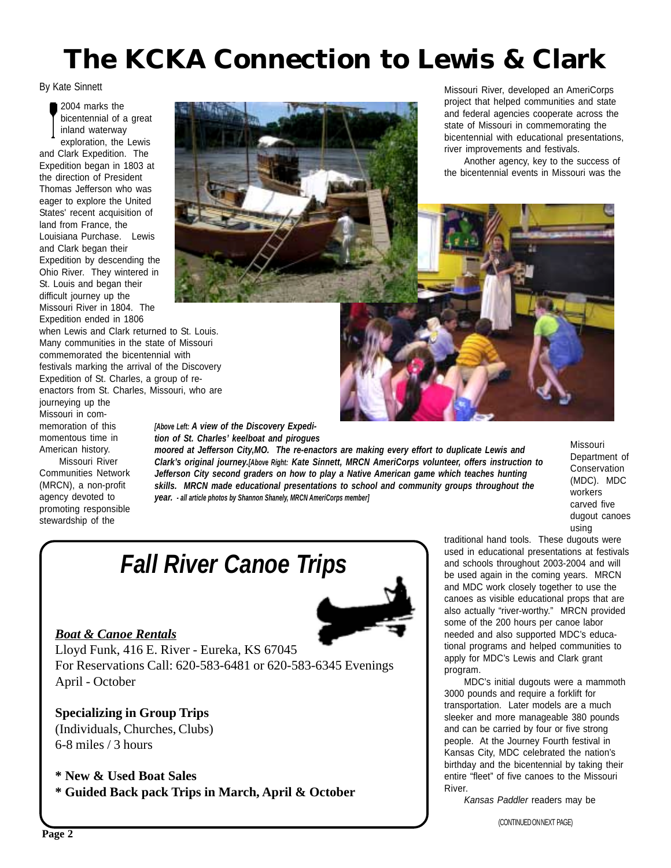# **The KCKA Connection to Lewis & Clark**

By Kate Sinnett

2004 marks the bicentennial of a great inland waterway exploration, the Lewis

and Clark Expedition. The Expedition began in 1803 at the direction of President Thomas Jefferson who was eager to explore the United States' recent acquisition of land from France, the Louisiana Purchase. Lewis and Clark began their Expedition by descending the Ohio River. They wintered in St. Louis and began their difficult journey up the Missouri River in 1804. The Expedition ended in 1806

when Lewis and Clark returned to St. Louis. Many communities in the state of Missouri commemorated the bicentennial with festivals marking the arrival of the Discovery Expedition of St. Charles, a group of reenactors from St. Charles, Missouri, who are

journeying up the Missouri in commemoration of this momentous time in American history.

Missouri River Communities Network (MRCN), a non-profit agency devoted to promoting responsible stewardship of the



Missouri River, developed an AmeriCorps project that helped communities and state and federal agencies cooperate across the state of Missouri in commemorating the bicentennial with educational presentations, river improvements and festivals.

Another agency, key to the success of the bicentennial events in Missouri was the



*[Above Left: A view of the Discovery Expedition of St. Charles' keelboat and pirogues*

*moored at Jefferson City,MO. The re-enactors are making every effort to duplicate Lewis and Clark's original journey.[Above Right: Kate Sinnett, MRCN AmeriCorps volunteer, offers instruction to Jefferson City second graders on how to play a Native American game which teaches hunting skills. MRCN made educational presentations to school and community groups throughout the year. - all article photos by Shannon Shanely, MRCN AmeriCorps member]*

Missouri Department of Conservation (MDC). MDC workers carved five dugout canoes using

## *Fall River Canoe Trips*

### *Boat & Canoe Rentals*



Lloyd Funk, 416 E. River - Eureka, KS 67045 For Reservations Call: 620-583-6481 or 620-583-6345 Evenings April - October

**Specializing in Group Trips** (Individuals, Churches, Clubs) 6-8 miles / 3 hours

**\* New & Used Boat Sales**

**\* Guided Back pack Trips in March, April & October**

traditional hand tools. These dugouts were used in educational presentations at festivals and schools throughout 2003-2004 and will be used again in the coming years. MRCN and MDC work closely together to use the canoes as visible educational props that are also actually "river-worthy." MRCN provided some of the 200 hours per canoe labor needed and also supported MDC's educational programs and helped communities to apply for MDC's Lewis and Clark grant program.

MDC's initial dugouts were a mammoth 3000 pounds and require a forklift for transportation. Later models are a much sleeker and more manageable 380 pounds and can be carried by four or five strong people. At the Journey Fourth festival in Kansas City, MDC celebrated the nation's birthday and the bicentennial by taking their entire "fleet" of five canoes to the Missouri River.

*Kansas Paddler* readers may be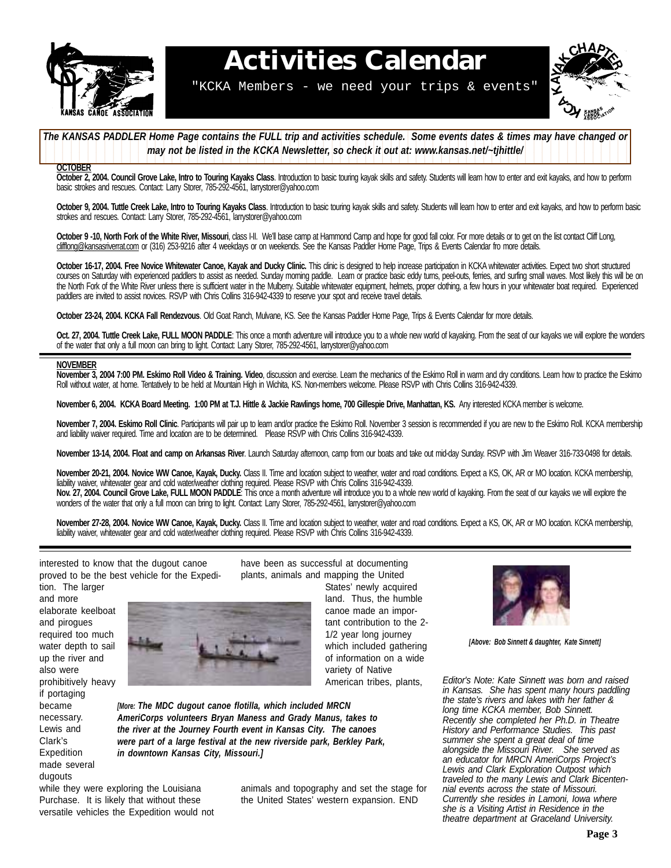

# **Activities Calendar**

"KCKA Members - we need your trips & events"



The KANSAS PADDLER Home Page contains the FULL trip and activities schedule. Some events dates & times may have changed or 12345678901234567890123456789012123456789012345678901234567890121234567 **1 1 7** *may not be listed in the KCKA Newsletter, so check it out at: www.kansas.net/~tjhittle/* 

12345678901234567890123456789012123456789012345678901234567890121234567

### **OCTOBER**

**October 2, 2004. Council Grove Lake, Intro to Touring Kayaks Class**. Introduction to basic touring kayak skills and safety. Students will learn how to enter and exit kayaks, and how to perform basic strokes and rescues. Contact: Larry Storer, 785-292-4561, larrystorer@yahoo.com

October 9, 2004. Tuttle Creek Lake, Intro to Touring Kayaks Class. Introduction to basic touring kayak skills and safety. Students will learn how to enter and exit kayaks, and how to perform basic strokes and rescues. Contact: Larry Storer, 785-292-4561, larrystorer@yahoo.com

**October 9 -10, North Fork of the White River, Missouri**, class I-II. We'll base camp at Hammond Camp and hope for good fall color. For more details or to get on the list contact Cliff Long, clifflong@kansasriverrat.com or (316) 253-9216 after 4 weekdays or on weekends. See the Kansas Paddler Home Page, Trips & Events Calendar fro more details.

October 16-17, 2004. Free Novice Whitewater Canoe, Kayak and Ducky Clinic. This clinic is designed to help increase participation in KCKA whitewater activities. Expect two short structured courses on Saturday with experienced paddlers to assist as needed. Sunday morning paddle. Learn or practice basic eddy turns, peel-outs, ferries, and surfing small waves. Most likely this will be on the North Fork of the White River unless there is sufficient water in the Mulberry. Suitable whitewater equipment, helmets, proper clothing, a few hours in your whitewater boat required. Experienced paddlers are invited to assist novices. RSVP with Chris Collins 316-942-4339 to reserve your spot and receive travel details.

**October 23-24, 2004. KCKA Fall Rendezvous**. Old Goat Ranch, Mulvane, KS. See the Kansas Paddler Home Page, Trips & Events Calendar for more details.

**Oct. 27, 2004. Tuttle Creek Lake, FULL MOON PADDLE**: This once a month adventure will introduce you to a whole new world of kayaking. From the seat of our kayaks we will explore the wonders of the water that only a full moon can bring to light. Contact: Larry Storer, 785-292-4561, larrystorer@yahoo.com

#### **NOVEMBER**

**November 3, 2004 7:00 PM. Eskimo Roll Video & Training. Video**, discussion and exercise. Learn the mechanics of the Eskimo Roll in warm and dry conditions. Learn how to practice the Eskimo Roll without water, at home. Tentatively to be held at Mountain High in Wichita, KS. Non-members welcome. Please RSVP with Chris Collins 316-942-4339.

**November 6, 2004. KCKA Board Meeting. 1:00 PM at T.J. Hittle & Jackie Rawlings home, 700 Gillespie Drive, Manhattan, KS.** Any interested KCKA member is welcome.

**November 7, 2004. Eskimo Roll Clinic**. Participants will pair up to learn and/or practice the Eskimo Roll. November 3 session is recommended if you are new to the Eskimo Roll. KCKA membership and liability waiver required. Time and location are to be determined. Please RSVP with Chris Collins 316-942-4339.

November 13-14, 2004. Float and camp on Arkansas River. Launch Saturday afternoon, camp from our boats and take out mid-day Sunday. RSVP with Jim Weaver 316-733-0498 for details.

**November 20-21, 2004. Novice WW Canoe, Kayak, Ducky.** Class II. Time and location subject to weather, water and road conditions. Expect a KS, OK, AR or MO location. KCKA membership, liability waiver, whitewater gear and cold water/weather clothing required. Please RSVP with Chris Collins 316-942-4339. Nov. 27, 2004. Council Grove Lake, FULL MOON PADDLE: This once a month adventure will introduce you to a whole new world of kayaking. From the seat of our kayaks we will explore the wonders of the water that only a full moon can bring to light. Contact: Larry Storer, 785-292-4561, larrystorer@yahoo.com

**November 27-28, 2004. Novice WW Canoe, Kayak, Ducky.** Class II. Time and location subject to weather, water and road conditions. Expect a KS, OK, AR or MO location. KCKA membership, liability waiver, whitewater gear and cold water/weather clothing required. Please RSVP with Chris Collins 316-942-4339.

interested to know that the dugout canoe proved to be the best vehicle for the Expedition. The larger

and more elaborate keelboat and pirogues required too much water depth to sail up the river and also were prohibitively heavy if portaging became necessary. Lewis and Clark's Expedition made several dugouts



*[More: The MDC dugout canoe flotilla, which included MRCN AmeriCorps volunteers Bryan Maness and Grady Manus, takes to the river at the Journey Fourth event in Kansas City. The canoes were part of a large festival at the new riverside park, Berkley Park, in downtown Kansas City, Missouri.]*

while they were exploring the Louisiana Purchase. It is likely that without these versatile vehicles the Expedition would not have been as successful at documenting plants, animals and mapping the United States' newly acquired

land. Thus, the humble canoe made an important contribution to the 2- 1/2 year long journey which included gathering of information on a wide variety of Native American tribes, plants,



animals and topography and set the stage for the United States' western expansion. END



*[Above: Bob Sinnett & daughter, Kate Sinnett]*

*Editor's Note: Kate Sinnett was born and raised in Kansas. She has spent many hours paddling the state's rivers and lakes with her father & long time KCKA member, Bob Sinnett. Recently she completed her Ph.D. in Theatre History and Performance Studies. This past summer she spent a great deal of time alongside the Missouri River. She served as an educator for MRCN AmeriCorps Project's Lewis and Clark Exploration Outpost which traveled to the many Lewis and Clark Bicentennial events across the state of Missouri. Currently she resides in Lamoni, Iowa where she is a Visiting Artist in Residence in the theatre department at Graceland University.*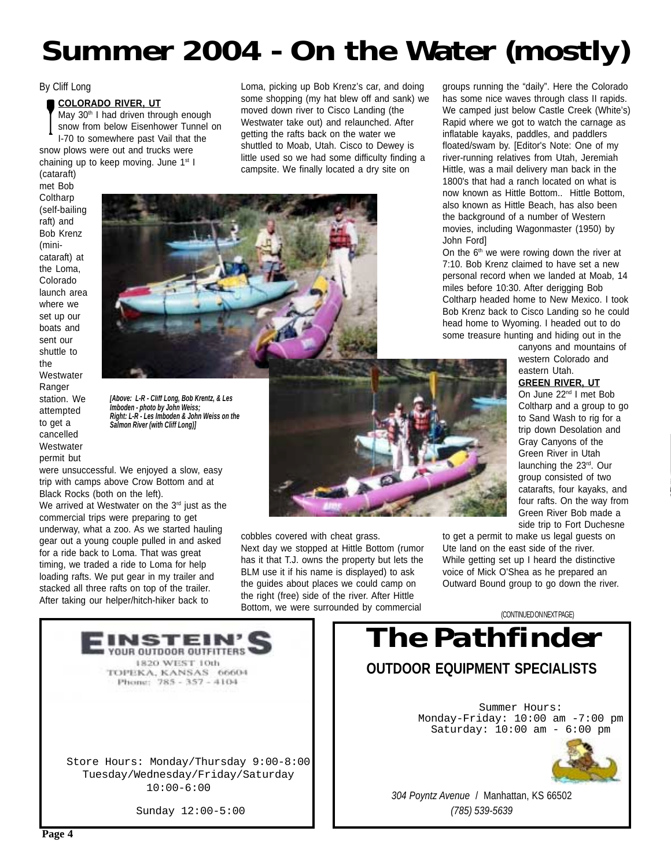# **Summer 2004 - On the Water (mostly)**

Loma, picking up Bob Krenz's car, and doing some shopping (my hat blew off and sank) we moved down river to Cisco Landing (the Westwater take out) and relaunched. After getting the rafts back on the water we shuttled to Moab, Utah. Cisco to Dewey is little used so we had some difficulty finding a campsite. We finally located a dry site on

### By Cliff Long

### **COLORADO RIVER, UT**

May 30<sup>th</sup> I had driven through enough snow from below Eisenhower Tunnel on I-70 to somewhere past Vail that the snow plows were out and trucks were chaining up to keep moving. June 1<sup>st</sup> I

(cataraft) met Bob **Coltharp** (self-bailing raft) and Bob Krenz (minicataraft) at the Loma, Colorado launch area where we set up our boats and sent our shuttle to the **Westwater** Ranger station. We attempted to get a cancelled **Westwater** permit but



*[Above: L-R - Cliff Long, Bob Krentz, & Les Imboden - photo by John Weiss; Right: L-R - Les Imboden & John Weiss on the Salmon River (with Cliff Long)]*

were unsuccessful. We enjoyed a slow, easy trip with camps above Crow Bottom and at Black Rocks (both on the left).

We arrived at Westwater on the  $3<sup>rd</sup>$  just as the commercial trips were preparing to get underway, what a zoo. As we started hauling gear out a young couple pulled in and asked for a ride back to Loma. That was great timing, we traded a ride to Loma for help loading rafts. We put gear in my trailer and stacked all three rafts on top of the trailer. After taking our helper/hitch-hiker back to



cobbles covered with cheat grass. Next day we stopped at Hittle Bottom (rumor has it that T.J. owns the property but lets the BLM use it if his name is displayed) to ask the guides about places we could camp on the right (free) side of the river. After Hittle Bottom, we were surrounded by commercial

groups running the "daily". Here the Colorado has some nice waves through class II rapids. We camped just below Castle Creek (White's) Rapid where we got to watch the carnage as inflatable kayaks, paddles, and paddlers floated/swam by. [Editor's Note: One of my river-running relatives from Utah, Jeremiah Hittle, was a mail delivery man back in the 1800's that had a ranch located on what is now known as Hittle Bottom.. Hittle Bottom, also known as Hittle Beach, has also been the background of a number of Western movies, including Wagonmaster (1950) by John Ford]

On the  $6<sup>th</sup>$  we were rowing down the river at 7:10. Bob Krenz claimed to have set a new personal record when we landed at Moab, 14 miles before 10:30. After derigging Bob Coltharp headed home to New Mexico. I took Bob Krenz back to Cisco Landing so he could head home to Wyoming. I headed out to do some treasure hunting and hiding out in the

> canyons and mountains of western Colorado and eastern Utah.

### **GREEN RIVER, UT**

On June 22nd I met Bob Coltharp and a group to go to Sand Wash to rig for a trip down Desolation and Gray Canyons of the Green River in Utah launching the 23rd. Our group consisted of two catarafts, four kayaks, and four rafts. On the way from Green River Bob made a side trip to Fort Duchesne

to get a permit to make us legal guests on Ute land on the east side of the river. While getting set up I heard the distinctive voice of Mick O'Shea as he prepared an Outward Bound group to go down the river.



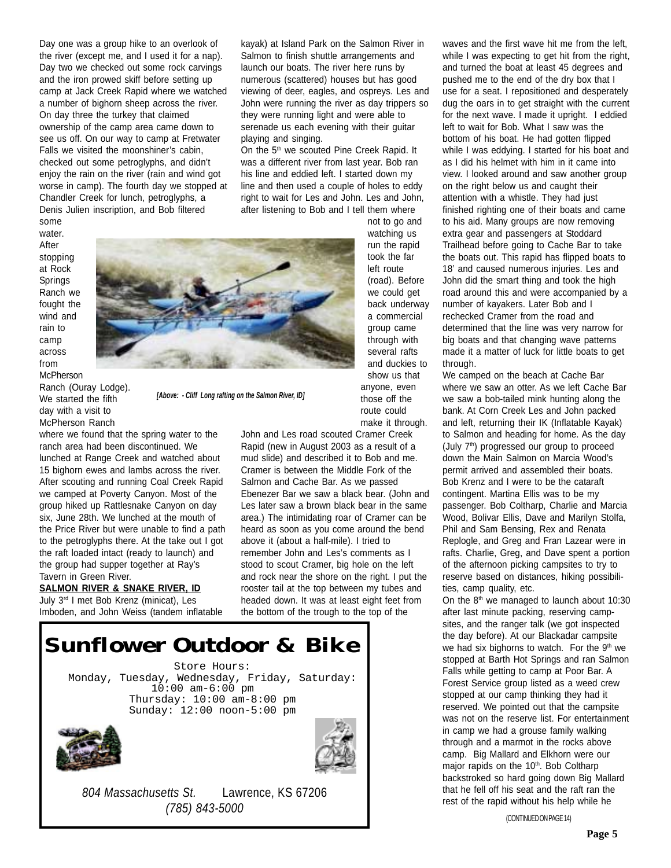Day one was a group hike to an overlook of the river (except me, and I used it for a nap). Day two we checked out some rock carvings and the iron prowed skiff before setting up camp at Jack Creek Rapid where we watched a number of bighorn sheep across the river. On day three the turkey that claimed ownership of the camp area came down to see us off. On our way to camp at Fretwater Falls we visited the moonshiner's cabin, checked out some petroglyphs, and didn't enjoy the rain on the river (rain and wind got worse in camp). The fourth day we stopped at Chandler Creek for lunch, petroglyphs, a Denis Julien inscription, and Bob filtered

kayak) at Island Park on the Salmon River in Salmon to finish shuttle arrangements and launch our boats. The river here runs by numerous (scattered) houses but has good viewing of deer, eagles, and ospreys. Les and John were running the river as day trippers so they were running light and were able to serenade us each evening with their guitar playing and singing.

On the 5<sup>th</sup> we scouted Pine Creek Rapid. It was a different river from last year. Bob ran his line and eddied left. I started down my line and then used a couple of holes to eddy right to wait for Les and John. Les and John, after listening to Bob and I tell them where

some water. After stopping at Rock Springs Ranch we fought the wind and rain to camp across from **McPherson** 

Ranch (Ouray Lodge). We started the fifth day with a visit to McPherson Ranch

Tavern in Green River.

**SALMON RIVER & SNAKE RIVER, ID** July 3rd I met Bob Krenz (minicat), Les Imboden, and John Weiss (tandem inflatable

where we found that the spring water to the ranch area had been discontinued. We lunched at Range Creek and watched about 15 bighorn ewes and lambs across the river. After scouting and running Coal Creek Rapid we camped at Poverty Canyon. Most of the group hiked up Rattlesnake Canyon on day six, June 28th. We lunched at the mouth of the Price River but were unable to find a path to the petroglyphs there. At the take out I got the raft loaded intact (ready to launch) and the group had supper together at Ray's



*[Above: - Cliff Long rafting on the Salmon River, ID]*

not to go and watching us run the rapid took the far left route (road). Before we could get back underway a commercial group came through with several rafts and duckies to show us that anyone, even those off the route could make it through.

John and Les road scouted Cramer Creek Rapid (new in August 2003 as a result of a mud slide) and described it to Bob and me. Cramer is between the Middle Fork of the Salmon and Cache Bar. As we passed Ebenezer Bar we saw a black bear. (John and Les later saw a brown black bear in the same area.) The intimidating roar of Cramer can be heard as soon as you come around the bend above it (about a half-mile). I tried to remember John and Les's comments as I stood to scout Cramer, big hole on the left and rock near the shore on the right. I put the rooster tail at the top between my tubes and headed down. It was at least eight feet from the bottom of the trough to the top of the

Store Hours: Monday, Tuesday, Wednesday, Friday, Saturday: 10:00 am-6:00 pm Thursday: 10:00 am-8:00 pm Sunday: 12:00 noon-5:00 pm *Sunflower Outdoor & Bike*





*804 Massachusetts St.* Lawrence, KS 67206 *(785) 843-5000*

waves and the first wave hit me from the left, while I was expecting to get hit from the right, and turned the boat at least 45 degrees and pushed me to the end of the dry box that I use for a seat. I repositioned and desperately dug the oars in to get straight with the current for the next wave. I made it upright. I eddied left to wait for Bob. What I saw was the bottom of his boat. He had gotten flipped while I was eddying. I started for his boat and as I did his helmet with him in it came into view. I looked around and saw another group on the right below us and caught their attention with a whistle. They had just finished righting one of their boats and came to his aid. Many groups are now removing extra gear and passengers at Stoddard Trailhead before going to Cache Bar to take the boats out. This rapid has flipped boats to 18' and caused numerous injuries. Les and John did the smart thing and took the high road around this and were accompanied by a number of kayakers. Later Bob and I rechecked Cramer from the road and determined that the line was very narrow for big boats and that changing wave patterns made it a matter of luck for little boats to get through.

We camped on the beach at Cache Bar where we saw an otter. As we left Cache Bar we saw a bob-tailed mink hunting along the bank. At Corn Creek Les and John packed and left, returning their IK (Inflatable Kayak) to Salmon and heading for home. As the day (July 7<sup>th</sup>) progressed our group to proceed down the Main Salmon on Marcia Wood's permit arrived and assembled their boats. Bob Krenz and I were to be the cataraft contingent. Martina Ellis was to be my passenger. Bob Coltharp, Charlie and Marcia Wood, Bolivar Ellis, Dave and Marilyn Stolfa, Phil and Sam Bensing, Rex and Renata Replogle, and Greg and Fran Lazear were in rafts. Charlie, Greg, and Dave spent a portion of the afternoon picking campsites to try to reserve based on distances, hiking possibilities, camp quality, etc.

On the  $8<sup>th</sup>$  we managed to launch about 10:30 after last minute packing, reserving campsites, and the ranger talk (we got inspected the day before). At our Blackadar campsite we had six bighorns to watch. For the 9<sup>th</sup> we stopped at Barth Hot Springs and ran Salmon Falls while getting to camp at Poor Bar. A Forest Service group listed as a weed crew stopped at our camp thinking they had it reserved. We pointed out that the campsite was not on the reserve list. For entertainment in camp we had a grouse family walking through and a marmot in the rocks above camp. Big Mallard and Elkhorn were our major rapids on the 10<sup>th</sup>. Bob Coltharp backstroked so hard going down Big Mallard that he fell off his seat and the raft ran the rest of the rapid without his help while he

(CONTINUED ON PAGE 14)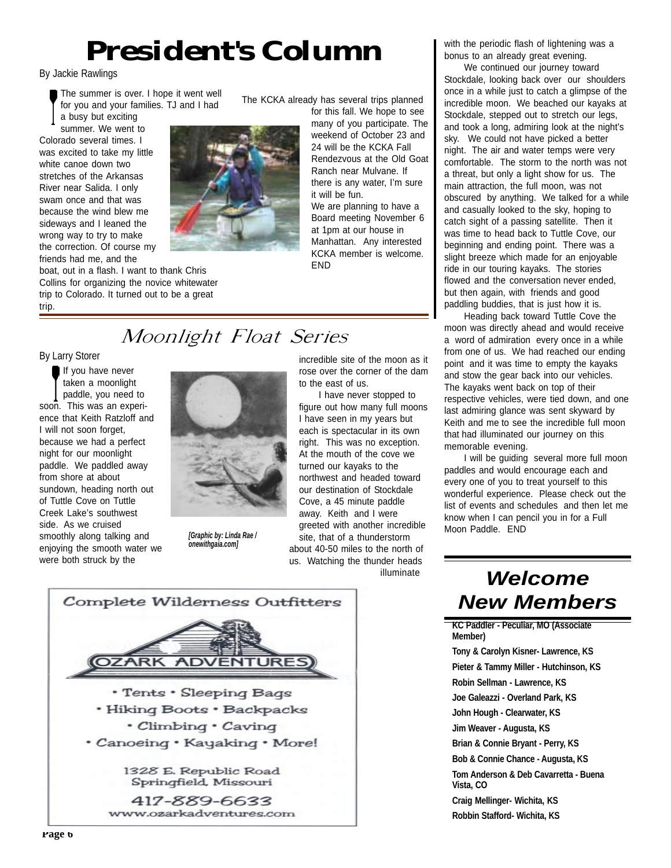# *President's Column*

By Jackie Rawlings

The summer is over. I hope it went well for you and your families. TJ and I had a busy but exciting

summer. We went to Colorado several times. I was excited to take my little white canoe down two stretches of the Arkansas River near Salida. I only swam once and that was because the wind blew me sideways and I leaned the wrong way to try to make the correction. Of course my friends had me, and the

boat, out in a flash. I want to thank Chris Collins for organizing the novice whitewater trip to Colorado. It turned out to be a great trip.

The KCKA already has several trips planned

for this fall. We hope to see many of you participate. The weekend of October 23 and 24 will be the KCKA Fall Rendezvous at the Old Goat Ranch near Mulvane. If there is any water, I'm sure it will be fun. We are planning to have a

Board meeting November 6 at 1pm at our house in Manhattan. Any interested KCKA member is welcome. END

incredible site of the moon as it rose over the corner of the dam

I have never stopped to figure out how many full moons I have seen in my years but each is spectacular in its own right. This was no exception. At the mouth of the cove we turned our kayaks to the northwest and headed toward our destination of Stockdale Cove, a 45 minute paddle away. Keith and I were greeted with another incredible

about 40-50 miles to the north of us. Watching the thunder heads

illuminate

to the east of us.

## Moonlight Float Series

By Larry Storer

If you have never taken a moonlight paddle, you need to soon. This was an experience that Keith Ratzloff and I will not soon forget, because we had a perfect night for our moonlight paddle. We paddled away from shore at about sundown, heading north out of Tuttle Cove on Tuttle Creek Lake's southwest side. As we cruised smoothly along talking and enjoying the smooth water we were both struck by the



site, that of a thunderstorm Moon Paddle. END *[Graphic by: Linda Rae / onewithgaia.com]*



with the periodic flash of lightening was a bonus to an already great evening.

We continued our journey toward Stockdale, looking back over our shoulders once in a while just to catch a glimpse of the incredible moon. We beached our kayaks at Stockdale, stepped out to stretch our legs, and took a long, admiring look at the night's sky. We could not have picked a better night. The air and water temps were very comfortable. The storm to the north was not a threat, but only a light show for us. The main attraction, the full moon, was not obscured by anything. We talked for a while and casually looked to the sky, hoping to catch sight of a passing satellite. Then it was time to head back to Tuttle Cove, our beginning and ending point. There was a slight breeze which made for an enjoyable ride in our touring kayaks. The stories flowed and the conversation never ended, but then again, with friends and good paddling buddies, that is just how it is.

Heading back toward Tuttle Cove the moon was directly ahead and would receive a word of admiration every once in a while from one of us. We had reached our ending point and it was time to empty the kayaks and stow the gear back into our vehicles. The kayaks went back on top of their respective vehicles, were tied down, and one last admiring glance was sent skyward by Keith and me to see the incredible full moon that had illuminated our journey on this memorable evening.

I will be guiding several more full moon paddles and would encourage each and every one of you to treat yourself to this wonderful experience. Please check out the list of events and schedules and then let me know when I can pencil you in for a Full

## *Welcome New Members*

**KC Paddler - Peculiar, MO (Associate Member)**

**Tony & Carolyn Kisner- Lawrence, KS Pieter & Tammy Miller - Hutchinson, KS Robin Sellman - Lawrence, KS Joe Galeazzi - Overland Park, KS John Hough - Clearwater, KS Jim Weaver - Augusta, KS Brian & Connie Bryant - Perry, KS Bob & Connie Chance - Augusta, KS Tom Anderson & Deb Cavarretta - Buena Vista, CO Craig Mellinger- Wichita, KS Robbin Stafford- Wichita, KS**

**Page 6**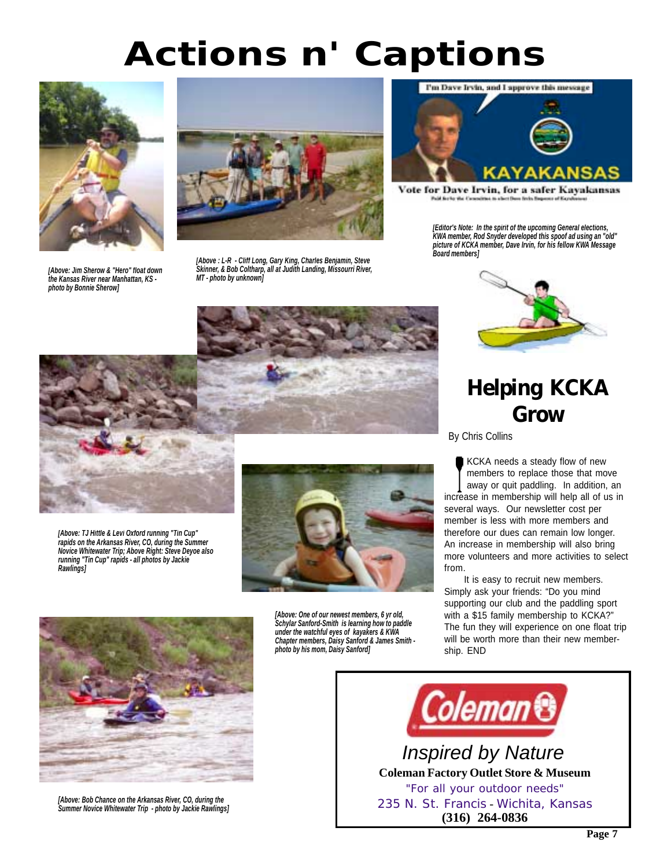# *Actions n' Captions*



*[Above: Jim Sherow & "Hero" float down the Kansas River near Manhattan, KS photo by Bonnie Sherow]*



*[Above : L-R - Cliff Long, Gary King, Charles Benjamin, Steve Skinner, & Bob Coltharp, all at Judith Landing, Missourri River, MT - photo by unknown]*



Vote for Dave Irvin, for a safer Kayakansas Puid for the that flows et to albert floor feyin finge

*[Editor's Note: In the spirit of the upcoming General elections, KWA member, Rod Snyder developed this spoof ad using an "old" picture of KCKA member, Dave Irvin, for his fellow KWA Message Board members]*



## **Helping KCKA Grow**

By Chris Collins

KCKA needs a steady flow of new members to replace those that move away or quit paddling. In addition, an increase in membership will help all of us in several ways. Our newsletter cost per member is less with more members and therefore our dues can remain low longer. An increase in membership will also bring more volunteers and more activities to select from.

It is easy to recruit new members. Simply ask your friends: "Do you mind supporting our club and the paddling sport with a \$15 family membership to KCKA?" The fun they will experience on one float trip will be worth more than their new membership. END



*[Above: TJ Hittle & Levi Oxford running "Tin Cup" rapids on the Arkansas River, CO, during the Summer Novice Whitewater Trip; Above Right: Steve Deyoe also running "Tin Cup" rapids - all photos by Jackie Rawlings]*



*[Above: One of our newest members, 6 yr old, Schylar Sanford-Smith is learning how to paddle under the watchful eyes of kayakers & KWA Chapter members, Daisy Sanford & James Smith photo by his mom, Daisy Sanford]*



*[Above: Bob Chance on the Arkansas River, CO, during the Summer Novice Whitewater Trip - photo by Jackie Rawlings]*

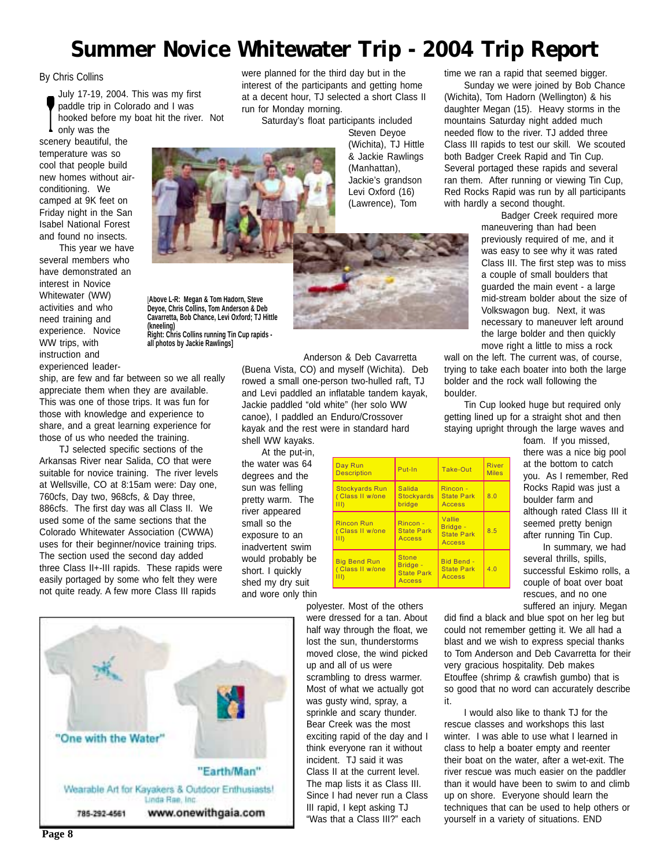## **Summer Novice Whitewater Trip - 2004 Trip Report**

### By Chris Collins

July 17-19, 2004. This was my first paddle trip in Colorado and I was hooked before my boat hit the river. Not only was the

scenery beautiful, the temperature was so cool that people build new homes without airconditioning. We camped at 9K feet on Friday night in the San Isabel National Forest and found no insects.

This year we have several members who have demonstrated an interest in Novice Whitewater (WW) activities and who need training and experience. Novice WW trips, with instruction and experienced leader-

**Deyoe, Chris Collins, Tom Anderson & Deb Cavarretta, Bob Chance, Levi Oxford; TJ Hittle (kneeling) Right: Chris Collins running Tin Cup rapids all photos by Jackie Rawlings]**

[**Above L-R: Megan & Tom Hadorn, Steve**

ship, are few and far between so we all really appreciate them when they are available. This was one of those trips. It was fun for those with knowledge and experience to share, and a great learning experience for those of us who needed the training.

TJ selected specific sections of the Arkansas River near Salida, CO that were suitable for novice training. The river levels at Wellsville, CO at 8:15am were: Day one, 760cfs, Day two, 968cfs, & Day three, 886cfs. The first day was all Class II. We used some of the same sections that the Colorado Whitewater Association (CWWA) uses for their beginner/novice training trips. The section used the second day added three Class II+-III rapids. These rapids were easily portaged by some who felt they were not quite ready. A few more Class III rapids

were planned for the third day but in the interest of the participants and getting home at a decent hour, TJ selected a short Class II run for Monday morning. Saturday's float participants included

Steven Deyoe (Wichita), TJ Hittle & Jackie Rawlings (Manhattan), Jackie's grandson Levi Oxford (16) (Lawrence), Tom

Anderson & Deb Cavarretta (Buena Vista, CO) and myself (Wichita). Deb rowed a small one-person two-hulled raft, TJ and Levi paddled an inflatable tandem kayak, Jackie paddled "old white" (her solo WW canoe), I paddled an Enduro/Crossover kayak and the rest were in standard hard shell WW kayaks.

At the put-in,

the water was 64 degrees and the sun was felling pretty warm. The river appeared small so the exposure to an inadvertent swim would probably be short. I quickly shed my dry suit and wore only thin



polyester. Most of the others were dressed for a tan. About half way through the float, we lost the sun, thunderstorms moved close, the wind picked up and all of us were scrambling to dress warmer. Most of what we actually got was gusty wind, spray, a sprinkle and scary thunder. Bear Creek was the most exciting rapid of the day and I think everyone ran it without incident. TJ said it was Class II at the current level. The map lists it as Class III. Since I had never run a Class III rapid, I kept asking TJ "Was that a Class III?" each

time we ran a rapid that seemed bigger.

Sunday we were joined by Bob Chance (Wichita), Tom Hadorn (Wellington) & his daughter Megan (15). Heavy storms in the mountains Saturday night added much needed flow to the river. TJ added three Class III rapids to test our skill. We scouted both Badger Creek Rapid and Tin Cup. Several portaged these rapids and several ran them. After running or viewing Tin Cup, Red Rocks Rapid was run by all participants with hardly a second thought.

> Badger Creek required more maneuvering than had been previously required of me, and it was easy to see why it was rated Class III. The first step was to miss a couple of small boulders that guarded the main event - a large mid-stream bolder about the size of Volkswagon bug. Next, it was necessary to maneuver left around the large bolder and then quickly move right a little to miss a rock

wall on the left. The current was, of course, trying to take each boater into both the large bolder and the rock wall following the boulder.

Tin Cup looked huge but required only getting lined up for a straight shot and then staying upright through the large waves and

foam. If you missed, there was a nice big pool at the bottom to catch you. As I remember, Red Rocks Rapid was just a boulder farm and although rated Class III it seemed pretty benign after running Tin Cup.

In summary, we had several thrills, spills, successful Eskimo rolls, a couple of boat over boat rescues, and no one suffered an injury. Megan

did find a black and blue spot on her leg but could not remember getting it. We all had a blast and we wish to express special thanks to Tom Anderson and Deb Cavarretta for their very gracious hospitality. Deb makes Etouffee (shrimp & crawfish gumbo) that is so good that no word can accurately describe it.

I would also like to thank TJ for the rescue classes and workshops this last winter. I was able to use what I learned in class to help a boater empty and reenter their boat on the water, after a wet-exit. The river rescue was much easier on the paddler than it would have been to swim to and climb up on shore. Everyone should learn the techniques that can be used to help others or yourself in a variety of situations. END

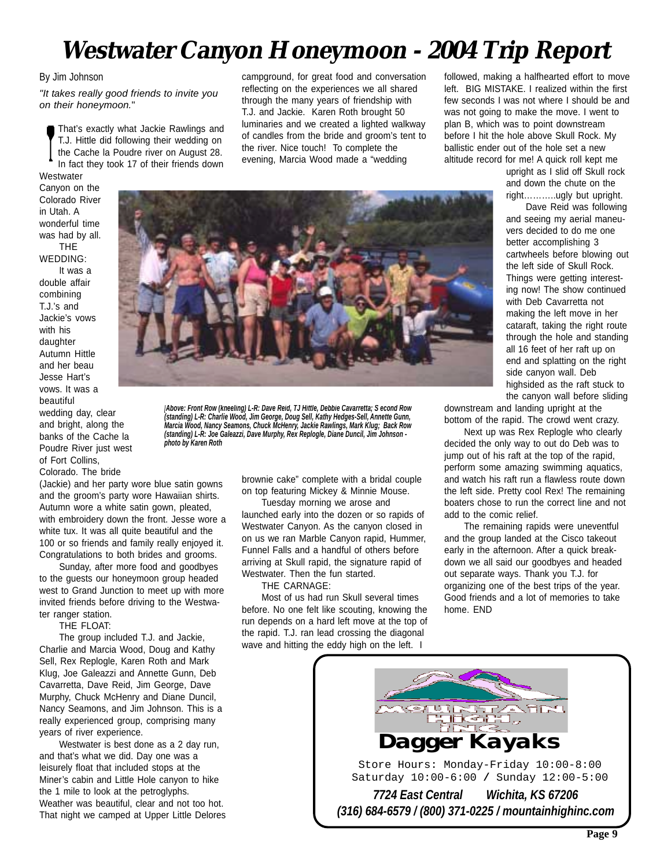## **Westwater Canyon Honeymoon - 2004 Trip Report**

### By Jim Johnson

*"It takes really good friends to invite you on their honeymoon.*"

That's exactly what Jackie Rawlings and T.J. Hittle did following their wedding on the Cache la Poudre river on August 28. In fact they took 17 of their friends down Westwater

campground, for great food and conversation reflecting on the experiences we all shared through the many years of friendship with T.J. and Jackie. Karen Roth brought 50 luminaries and we created a lighted walkway of candles from the bride and groom's tent to the river. Nice touch! To complete the evening, Marcia Wood made a "wedding

followed, making a halfhearted effort to move left. BIG MISTAKE. I realized within the first few seconds I was not where I should be and was not going to make the move. I went to plan B, which was to point downstream before I hit the hole above Skull Rock. My ballistic ender out of the hole set a new altitude record for me! A quick roll kept me

upright as I slid off Skull rock and down the chute on the right………..ugly but upright.

Canyon on the Colorado River in Utah. A wonderful time was had by all. THE WEDDING: It was a double affair combining T.J.'s and Jackie's vows

with his daughter Autumn Hittle and her beau Jesse Hart's vows. It was a beautiful wedding day, clear

and bright, along the banks of the Cache la Poudre River just west of Fort Collins,

Colorado. The bride

(Jackie) and her party wore blue satin gowns and the groom's party wore Hawaiian shirts. Autumn wore a white satin gown, pleated, with embroidery down the front. Jesse wore a white tux. It was all quite beautiful and the 100 or so friends and family really enjoyed it. Congratulations to both brides and grooms.

*photo by Karen Roth*

Sunday, after more food and goodbyes to the guests our honeymoon group headed west to Grand Junction to meet up with more invited friends before driving to the Westwater ranger station.

THE FLOAT:

The group included T.J. and Jackie, Charlie and Marcia Wood, Doug and Kathy Sell, Rex Replogle, Karen Roth and Mark Klug, Joe Galeazzi and Annette Gunn, Deb Cavarretta, Dave Reid, Jim George, Dave Murphy, Chuck McHenry and Diane Duncil, Nancy Seamons, and Jim Johnson. This is a really experienced group, comprising many years of river experience.

Westwater is best done as a 2 day run, and that's what we did. Day one was a leisurely float that included stops at the Miner's cabin and Little Hole canyon to hike the 1 mile to look at the petroglyphs. Weather was beautiful, clear and not too hot. That night we camped at Upper Little Delores brownie cake" complete with a bridal couple on top featuring Mickey & Minnie Mouse.

Tuesday morning we arose and launched early into the dozen or so rapids of Westwater Canyon. As the canyon closed in on us we ran Marble Canyon rapid, Hummer, Funnel Falls and a handful of others before arriving at Skull rapid, the signature rapid of Westwater. Then the fun started.

THE CARNAGE:

*[Above: Front Row (kneeling) L-R: Dave Reid, TJ Hittle, Debbie Cavarretta; S econd Row (standing) L-R: Charlie Wood, Jim George, Doug Sell, Kathy Hedges-Sell, Annette Gunn, Marcia Wood, Nancy Seamons, Chuck McHenry, Jackie Rawlings, Mark Klug; Back Row (standing) L-R: Joe Galeazzi, Dave Murphy, Rex Replogle, Diane Duncil, Jim Johnson -*

> Most of us had run Skull several times before. No one felt like scouting, knowing the run depends on a hard left move at the top of the rapid. T.J. ran lead crossing the diagonal wave and hitting the eddy high on the left. I

Dave Reid was following and seeing my aerial maneuvers decided to do me one better accomplishing 3 cartwheels before blowing out the left side of Skull Rock. Things were getting interesting now! The show continued with Deb Cavarretta not making the left move in her cataraft, taking the right route through the hole and standing all 16 feet of her raft up on end and splatting on the right side canyon wall. Deb highsided as the raft stuck to the canyon wall before sliding

downstream and landing upright at the bottom of the rapid. The crowd went crazy.

Next up was Rex Replogle who clearly decided the only way to out do Deb was to jump out of his raft at the top of the rapid, perform some amazing swimming aquatics, and watch his raft run a flawless route down the left side. Pretty cool Rex! The remaining boaters chose to run the correct line and not add to the comic relief.

The remaining rapids were uneventful and the group landed at the Cisco takeout early in the afternoon. After a quick breakdown we all said our goodbyes and headed out separate ways. Thank you T.J. for organizing one of the best trips of the year. Good friends and a lot of memories to take home. END



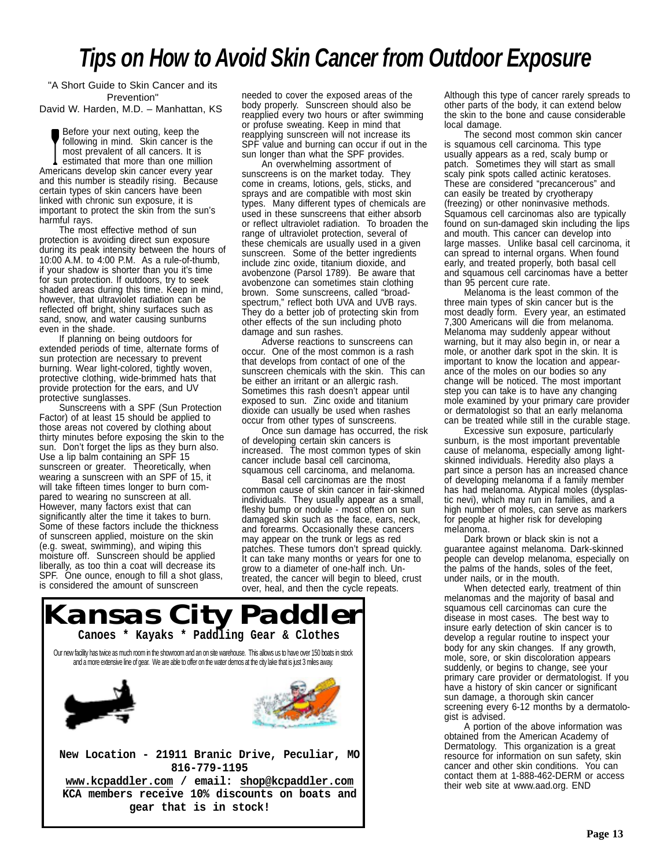## *Tips on How to Avoid Skin Cancer from Outdoor Exposure*

"A Short Guide to Skin Cancer and its Prevention" David W. Harden, M.D. – Manhattan, KS

Before your next outing, keep the following in mind. Skin cancer is the most prevalent of all cancers. It is estimated that more than one million Americans develop skin cancer every year and this number is steadily rising. Because certain types of skin cancers have been linked with chronic sun exposure, it is important to protect the skin from the sun's harmful rays.

The most effective method of sun protection is avoiding direct sun exposure during its peak intensity between the hours of 10:00 A.M. to 4:00 P.M. As a rule-of-thumb, if your shadow is shorter than you it's time for sun protection. If outdoors, try to seek shaded areas during this time. Keep in mind, however, that ultraviolet radiation can be reflected off bright, shiny surfaces such as sand, snow, and water causing sunburns even in the shade.

If planning on being outdoors for extended periods of time, alternate forms of sun protection are necessary to prevent burning. Wear light-colored, tightly woven, protective clothing, wide-brimmed hats that provide protection for the ears, and UV protective sunglasses.

Sunscreens with a SPF (Sun Protection Factor) of at least 15 should be applied to those areas not covered by clothing about thirty minutes before exposing the skin to the sun. Don't forget the lips as they burn also. Use a lip balm containing an SPF 15 sunscreen or greater. Theoretically, when wearing a sunscreen with an SPF of 15, it will take fifteen times longer to burn compared to wearing no sunscreen at all. However, many factors exist that can significantly alter the time it takes to burn. Some of these factors include the thickness of sunscreen applied, moisture on the skin (e.g. sweat, swimming), and wiping this moisture off. Sunscreen should be applied liberally, as too thin a coat will decrease its SPF. One ounce, enough to fill a shot glass, is considered the amount of sunscreen

needed to cover the exposed areas of the body properly. Sunscreen should also be reapplied every two hours or after swimming or profuse sweating. Keep in mind that reapplying sunscreen will not increase its SPF value and burning can occur if out in the sun longer than what the SPF provides.

An overwhelming assortment of sunscreens is on the market today. They come in creams, lotions, gels, sticks, and sprays and are compatible with most skin types. Many different types of chemicals are used in these sunscreens that either absorb or reflect ultraviolet radiation. To broaden the range of ultraviolet protection, several of these chemicals are usually used in a given sunscreen. Some of the better ingredients include zinc oxide, titanium dioxide, and avobenzone (Parsol 1789). Be aware that avobenzone can sometimes stain clothing brown. Some sunscreens, called "broadspectrum," reflect both UVA and UVB rays. They do a better job of protecting skin from other effects of the sun including photo damage and sun rashes.

Adverse reactions to sunscreens can occur. One of the most common is a rash that develops from contact of one of the sunscreen chemicals with the skin. This can be either an irritant or an allergic rash. Sometimes this rash doesn't appear until exposed to sun. Zinc oxide and titanium dioxide can usually be used when rashes occur from other types of sunscreens.

Once sun damage has occurred, the risk of developing certain skin cancers is increased. The most common types of skin cancer include basal cell carcinoma, squamous cell carcinoma, and melanoma.

Basal cell carcinomas are the most common cause of skin cancer in fair-skinned individuals. They usually appear as a small, fleshy bump or nodule - most often on sun damaged skin such as the face, ears, neck, and forearms. Occasionally these cancers may appear on the trunk or legs as red patches. These tumors don't spread quickly. It can take many months or years for one to grow to a diameter of one-half inch. Untreated, the cancer will begin to bleed, crust over, heal, and then the cycle repeats.



Although this type of cancer rarely spreads to other parts of the body, it can extend below the skin to the bone and cause considerable local damage.

The second most common skin cancer is squamous cell carcinoma. This type usually appears as a red, scaly bump or patch. Sometimes they will start as small scaly pink spots called actinic keratoses. These are considered "precancerous" and can easily be treated by cryotherapy (freezing) or other noninvasive methods. Squamous cell carcinomas also are typically found on sun-damaged skin including the lips and mouth. This cancer can develop into large masses. Unlike basal cell carcinoma, it can spread to internal organs. When found early, and treated properly, both basal cell and squamous cell carcinomas have a better than 95 percent cure rate.

Melanoma is the least common of the three main types of skin cancer but is the most deadly form. Every year, an estimated 7,300 Americans will die from melanoma. Melanoma may suddenly appear without warning, but it may also begin in, or near a mole, or another dark spot in the skin. It is important to know the location and appearance of the moles on our bodies so any change will be noticed. The most important step you can take is to have any changing mole examined by your primary care provider or dermatologist so that an early melanoma can be treated while still in the curable stage.

Excessive sun exposure, particularly sunburn, is the most important preventable cause of melanoma, especially among lightskinned individuals. Heredity also plays a part since a person has an increased chance of developing melanoma if a family member has had melanoma. Atypical moles (dysplastic nevi), which may run in families, and a high number of moles, can serve as markers for people at higher risk for developing melanoma.

Dark brown or black skin is not a guarantee against melanoma. Dark-skinned people can develop melanoma, especially on the palms of the hands, soles of the feet, under nails, or in the mouth.

When detected early, treatment of thin melanomas and the majority of basal and squamous cell carcinomas can cure the disease in most cases. The best way to insure early detection of skin cancer is to develop a regular routine to inspect your body for any skin changes. If any growth, mole, sore, or skin discoloration appears suddenly, or begins to change, see your primary care provider or dermatologist. If you have a history of skin cancer or significant sun damage, a thorough skin cancer screening every 6-12 months by a dermatologist is advised.

A portion of the above information was obtained from the American Academy of Dermatology. This organization is a great resource for information on sun safety, skin cancer and other skin conditions. You can contact them at 1-888-462-DERM or access their web site at www.aad.org. END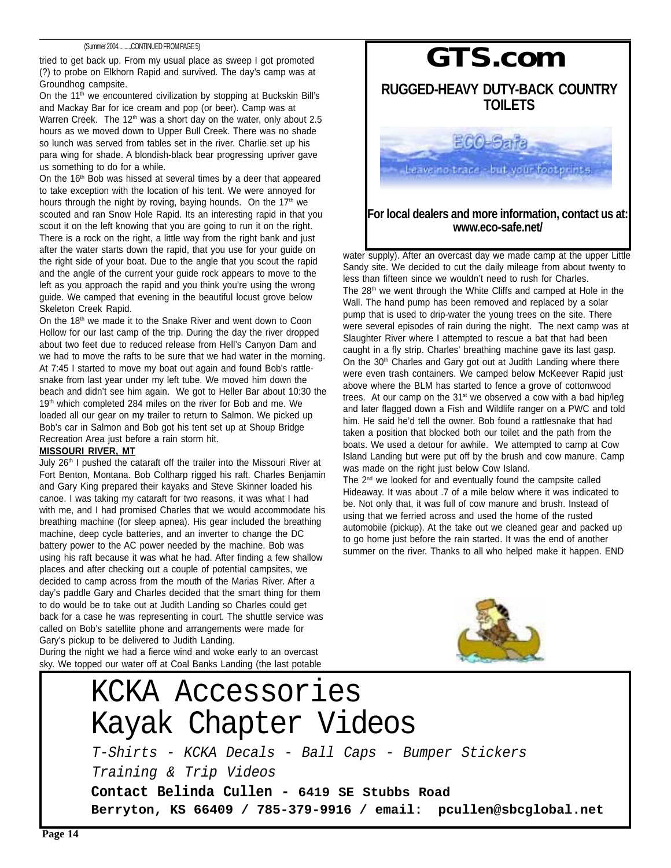### (Summer 2004..........CONTINUED FROM PAGE 5)

tried to get back up. From my usual place as sweep I got promoted (?) to probe on Elkhorn Rapid and survived. The day's camp was at Groundhog campsite.

On the 11<sup>th</sup> we encountered civilization by stopping at Buckskin Bill's and Mackay Bar for ice cream and pop (or beer). Camp was at Warren Creek. The 12<sup>th</sup> was a short day on the water, only about 2.5 hours as we moved down to Upper Bull Creek. There was no shade so lunch was served from tables set in the river. Charlie set up his para wing for shade. A blondish-black bear progressing upriver gave us something to do for a while.

On the 16<sup>th</sup> Bob was hissed at several times by a deer that appeared to take exception with the location of his tent. We were annoyed for hours through the night by roving, baying hounds. On the  $17<sup>th</sup>$  we scouted and ran Snow Hole Rapid. Its an interesting rapid in that you scout it on the left knowing that you are going to run it on the right. There is a rock on the right, a little way from the right bank and just after the water starts down the rapid, that you use for your guide on the right side of your boat. Due to the angle that you scout the rapid and the angle of the current your guide rock appears to move to the left as you approach the rapid and you think you're using the wrong guide. We camped that evening in the beautiful locust grove below Skeleton Creek Rapid.

On the 18<sup>th</sup> we made it to the Snake River and went down to Coon Hollow for our last camp of the trip. During the day the river dropped about two feet due to reduced release from Hell's Canyon Dam and we had to move the rafts to be sure that we had water in the morning. At 7:45 I started to move my boat out again and found Bob's rattlesnake from last year under my left tube. We moved him down the beach and didn't see him again. We got to Heller Bar about 10:30 the 19<sup>th</sup> which completed 284 miles on the river for Bob and me. We loaded all our gear on my trailer to return to Salmon. We picked up Bob's car in Salmon and Bob got his tent set up at Shoup Bridge Recreation Area just before a rain storm hit.

### **MISSOURI RIVER, MT**

July 26<sup>th</sup> I pushed the cataraft off the trailer into the Missouri River at Fort Benton, Montana. Bob Coltharp rigged his raft. Charles Benjamin and Gary King prepared their kayaks and Steve Skinner loaded his canoe. I was taking my cataraft for two reasons, it was what I had with me, and I had promised Charles that we would accommodate his breathing machine (for sleep apnea). His gear included the breathing machine, deep cycle batteries, and an inverter to change the DC battery power to the AC power needed by the machine. Bob was using his raft because it was what he had. After finding a few shallow places and after checking out a couple of potential campsites, we decided to camp across from the mouth of the Marias River. After a day's paddle Gary and Charles decided that the smart thing for them to do would be to take out at Judith Landing so Charles could get back for a case he was representing in court. The shuttle service was called on Bob's satellite phone and arrangements were made for Gary's pickup to be delivered to Judith Landing. During the night we had a fierce wind and woke early to an overcast

sky. We topped our water off at Coal Banks Landing (the last potable



### **For local dealers and more information, contact us at: www.eco-safe.net/**

water supply). After an overcast day we made camp at the upper Little Sandy site. We decided to cut the daily mileage from about twenty to less than fifteen since we wouldn't need to rush for Charles. The 28<sup>th</sup> we went through the White Cliffs and camped at Hole in the Wall. The hand pump has been removed and replaced by a solar pump that is used to drip-water the young trees on the site. There were several episodes of rain during the night. The next camp was at Slaughter River where I attempted to rescue a bat that had been caught in a fly strip. Charles' breathing machine gave its last gasp. On the 30<sup>th</sup> Charles and Gary got out at Judith Landing where there were even trash containers. We camped below McKeever Rapid just above where the BLM has started to fence a grove of cottonwood trees. At our camp on the 31<sup>st</sup> we observed a cow with a bad hip/leg and later flagged down a Fish and Wildlife ranger on a PWC and told him. He said he'd tell the owner. Bob found a rattlesnake that had taken a position that blocked both our toilet and the path from the boats. We used a detour for awhile. We attempted to camp at Cow Island Landing but were put off by the brush and cow manure. Camp was made on the right just below Cow Island. The  $2<sup>nd</sup>$  we looked for and eventually found the campsite called

Hideaway. It was about .7 of a mile below where it was indicated to be. Not only that, it was full of cow manure and brush. Instead of using that we ferried across and used the home of the rusted automobile (pickup). At the take out we cleaned gear and packed up to go home just before the rain started. It was the end of another summer on the river. Thanks to all who helped make it happen. END



### KCKA Accessories Kayak Chapter Videos T-Shirts - KCKA Decals - Ball Caps - Bumper Stickers Training & Trip Videos **Contact Belinda Cullen - 6419 SE Stubbs Road Berryton, KS 66409 / 785-379-9916 / email: pcullen@sbcglobal.net**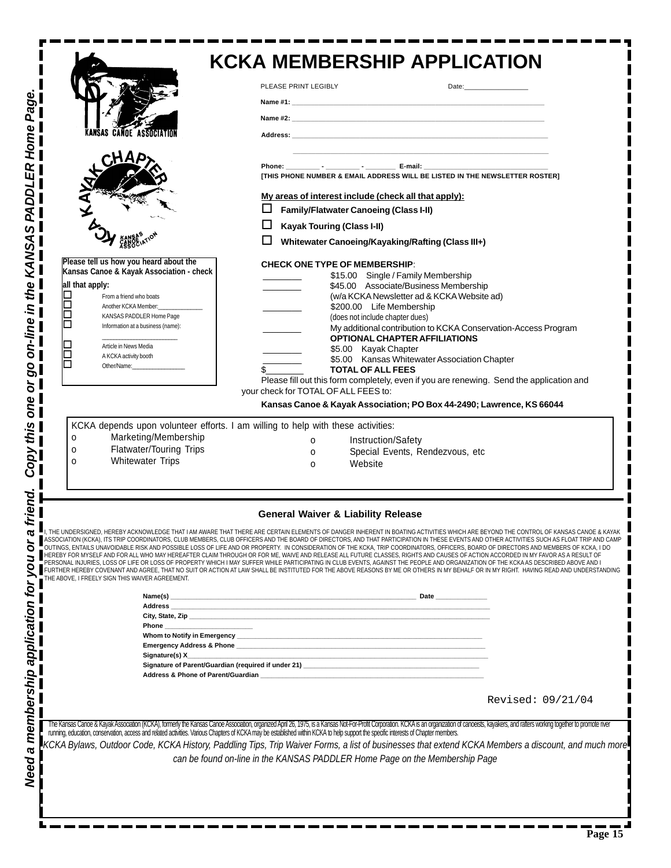|                                                                                                                                                                                                                                                                                                                                                                                         | <b>KCKA MEMBERSHIP APPLICATION</b>                                                                                                                                                                                                                                                                                                                                                                                                                                                                                                                                                                                                                                                                                                                                                                                                                                                                                                                                                                                                                                                                                                        |
|-----------------------------------------------------------------------------------------------------------------------------------------------------------------------------------------------------------------------------------------------------------------------------------------------------------------------------------------------------------------------------------------|-------------------------------------------------------------------------------------------------------------------------------------------------------------------------------------------------------------------------------------------------------------------------------------------------------------------------------------------------------------------------------------------------------------------------------------------------------------------------------------------------------------------------------------------------------------------------------------------------------------------------------------------------------------------------------------------------------------------------------------------------------------------------------------------------------------------------------------------------------------------------------------------------------------------------------------------------------------------------------------------------------------------------------------------------------------------------------------------------------------------------------------------|
|                                                                                                                                                                                                                                                                                                                                                                                         | PLEASE PRINT LEGIBLY<br>Date: the contract of the contract of the contract of the contract of the contract of the contract of the contract of the contract of the contract of the contract of the contract of the contract of the contract of the cont                                                                                                                                                                                                                                                                                                                                                                                                                                                                                                                                                                                                                                                                                                                                                                                                                                                                                    |
|                                                                                                                                                                                                                                                                                                                                                                                         |                                                                                                                                                                                                                                                                                                                                                                                                                                                                                                                                                                                                                                                                                                                                                                                                                                                                                                                                                                                                                                                                                                                                           |
| OE ASSOCIATIO                                                                                                                                                                                                                                                                                                                                                                           | Address: the contract of the contract of the contract of the contract of the contract of the contract of the contract of the contract of the contract of the contract of the contract of the contract of the contract of the c                                                                                                                                                                                                                                                                                                                                                                                                                                                                                                                                                                                                                                                                                                                                                                                                                                                                                                            |
|                                                                                                                                                                                                                                                                                                                                                                                         |                                                                                                                                                                                                                                                                                                                                                                                                                                                                                                                                                                                                                                                                                                                                                                                                                                                                                                                                                                                                                                                                                                                                           |
|                                                                                                                                                                                                                                                                                                                                                                                         | ITHIS PHONE NUMBER & EMAIL ADDRESS WILL BE LISTED IN THE NEWSLETTER ROSTERI                                                                                                                                                                                                                                                                                                                                                                                                                                                                                                                                                                                                                                                                                                                                                                                                                                                                                                                                                                                                                                                               |
|                                                                                                                                                                                                                                                                                                                                                                                         | My areas of interest include (check all that apply):                                                                                                                                                                                                                                                                                                                                                                                                                                                                                                                                                                                                                                                                                                                                                                                                                                                                                                                                                                                                                                                                                      |
|                                                                                                                                                                                                                                                                                                                                                                                         | <b>Family/Flatwater Canoeing (Class I-II)</b>                                                                                                                                                                                                                                                                                                                                                                                                                                                                                                                                                                                                                                                                                                                                                                                                                                                                                                                                                                                                                                                                                             |
|                                                                                                                                                                                                                                                                                                                                                                                         | ப<br><b>Kayak Touring (Class I-II)</b><br>Whitewater Canoeing/Kayaking/Rafting (Class III+)                                                                                                                                                                                                                                                                                                                                                                                                                                                                                                                                                                                                                                                                                                                                                                                                                                                                                                                                                                                                                                               |
| Please tell us how you heard about the<br>Kansas Canoe & Kayak Association - check<br>all that apply:<br>From a friend who boats<br>Another KCKA Member:<br>KANSAS PADDLER Home Page<br>Information at a business (name):<br>Article in News Media<br>A KCKA activity booth<br>Other/Name:<br>Marketing/Membership<br>0<br>Flatwater/Touring Trips<br>о<br><b>Whitewater Trips</b><br>0 | <b>CHECK ONE TYPE OF MEMBERSHIP:</b><br>\$15.00 Single / Family Membership<br>\$45.00 Associate/Business Membership<br>(w/a KCKA Newsletter ad & KCKA Website ad)<br>\$200.00 Life Membership<br>(does not include chapter dues)<br>My additional contribution to KCKA Conservation-Access Program<br><b>OPTIONAL CHAPTER AFFILIATIONS</b><br>\$5.00 Kayak Chapter<br>\$5.00 Kansas Whitewater Association Chapter<br><b>TOTAL OF ALL FEES</b><br>Please fill out this form completely, even if you are renewing. Send the application and<br>your check for TOTAL OF ALL FEES to:<br>Kansas Canoe & Kayak Association; PO Box 44-2490; Lawrence, KS 66044<br>KCKA depends upon volunteer efforts. I am willing to help with these activities:<br>Instruction/Safety<br>0<br>Special Events, Rendezvous, etc<br>O<br>Website<br>O                                                                                                                                                                                                                                                                                                         |
|                                                                                                                                                                                                                                                                                                                                                                                         | <b>General Waiver &amp; Liability Release</b>                                                                                                                                                                                                                                                                                                                                                                                                                                                                                                                                                                                                                                                                                                                                                                                                                                                                                                                                                                                                                                                                                             |
| THE ABOVE, I FREELY SIGN THIS WAIVER AGREEMENT.                                                                                                                                                                                                                                                                                                                                         | THE UNDERSIGNED, HEREBY ACKNOWLEDGE THAT I AM AWARE THAT THERE ARE CERTAIN ELEMENTS OF DANGER INHERENT IN BOATING ACTIVITIES WHICH ARE BEYOND THE CONTROL OF KANSAS CANOE & KAYAK<br>ASSOCIATION (KCKA), ITS TRIP COORDINATORS, CLUB MEMBERS, CLUB OFFICERS AND THE BOARD OF DIRECTORS, AND THAT PARTICIPATION IN THESE EVENTS AND OTHER ACTIVITIES SUCH AS FLOAT TRIP AND CAMP<br>OUTINGS, ENTAILS UNAVOIDABLE RISK AND POSSIBLE LOSS OF LIFE AND OR PROPERTY. IN CONSIDERATION OF THE KCKA, TRIP COORDINATORS, OFFICERS, BOARD OF DIRECTORS AND MEMBERS OF KCKA, I DO<br>HEREBY FOR MYSELF AND FOR ALL WHO MAY HEREAFTER CLAIM THROUGH OR FOR ME, WAIVE AND RELEASE ALL FUTURE CLASSES, RIGHTS AND CAUSES OF ACTION ACCORDED IN MY FAVOR AS A RESULT OF<br>PERSONAL INJURIES, LOSS OF LIFE OR LOSS OF PROPERTY WHICH I MAY SUFFER WHILE PARTICIPATING IN CLUB EVENTS, AGAINST THE PEOPLE AND ORGANIZATION OF THE KCKA AS DESCRIBED ABOVE AND I<br>FURTHER HEREBY COVENANT AND AGREE, THAT NO SUIT OR ACTION AT LAW SHALL BE INSTITUTED FOR THE ABOVE REASONS BY ME OR OTHERS IN MY BEHALF OR IN MY RIGHT. HAVING READ AND UNDERSTANDING |
|                                                                                                                                                                                                                                                                                                                                                                                         |                                                                                                                                                                                                                                                                                                                                                                                                                                                                                                                                                                                                                                                                                                                                                                                                                                                                                                                                                                                                                                                                                                                                           |
| Phone ___________                                                                                                                                                                                                                                                                                                                                                                       |                                                                                                                                                                                                                                                                                                                                                                                                                                                                                                                                                                                                                                                                                                                                                                                                                                                                                                                                                                                                                                                                                                                                           |
| Signature(s) X_                                                                                                                                                                                                                                                                                                                                                                         | <u>and</u> the<br><u> 1989 - Jan James James James James James James James James James James James James James James James James J</u>                                                                                                                                                                                                                                                                                                                                                                                                                                                                                                                                                                                                                                                                                                                                                                                                                                                                                                                                                                                                    |
|                                                                                                                                                                                                                                                                                                                                                                                         |                                                                                                                                                                                                                                                                                                                                                                                                                                                                                                                                                                                                                                                                                                                                                                                                                                                                                                                                                                                                                                                                                                                                           |
|                                                                                                                                                                                                                                                                                                                                                                                         | Revised: 09/21/04                                                                                                                                                                                                                                                                                                                                                                                                                                                                                                                                                                                                                                                                                                                                                                                                                                                                                                                                                                                                                                                                                                                         |
|                                                                                                                                                                                                                                                                                                                                                                                         | The Kansas Canoe & Kayak Association (KCKA), formerly the Kansas Canoe Association, organized April 26, 1975, is a Kansas Not-For-Profit Corporation. KCKA is an organization of canoeists, kayakers, and rafters working toge<br>KCKA Bylaws, Outdoor Code, KCKA History, Paddling Tips, Trip Waiver Forms, a list of businesses that extend KCKA Members a discount, and much more<br>can be found on-line in the KANSAS PADDLER Home Page on the Membership Page                                                                                                                                                                                                                                                                                                                                                                                                                                                                                                                                                                                                                                                                       |
|                                                                                                                                                                                                                                                                                                                                                                                         |                                                                                                                                                                                                                                                                                                                                                                                                                                                                                                                                                                                                                                                                                                                                                                                                                                                                                                                                                                                                                                                                                                                                           |

*Need a membership application for you or a friend. Copy this one or go on-line in the KANSAS PADDLER Home Page.*